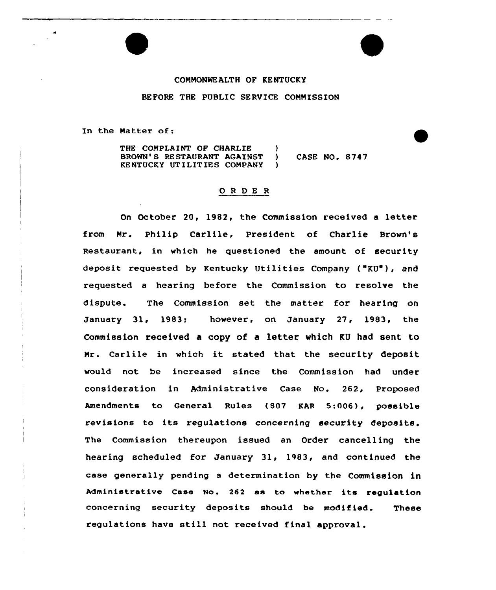## CONNONWEALTH OF KENTUCKY

## BEFORE THE PUBLIC SERVICE COMMISSION

In the Matter of:

THE COMPLAINT OF CHARLIE ) BROWN'S RESTAURANT AGAINST ) CASE NO. 8747 KENTUCKY UT ILIT IES COMPANY )

## ORDER

On Octobex'0, 1982, the Commission received a letter from Mr. Philip Carlile, President of Charlie Brown's Restaurant, in which he questioned the amount of security deposit requested by Kentucky Utilities Company ("KU"), and requested a hearing befoxe the Commission to xesolve the dispute. The Commission set the matter for hearing on January 31, 1983; however, on January 27, 1983, the Commission received a copy of a letter which KU had sent to Mr. Carlile in which it stated that the security deposit would not be increased since the Commission had under consideration in Administrative Case No. 262, Proposed Amendments to General Rules (807 KAR 5:006), possible revisions to its regulations concerning security deposits. The Commission thereupon issued an Order cancelling the hearing scheduled for January 31, 1983, and continued the case generally pending a determination by the Commission in Administrative Case No. 262 as to whether its regulation concexning security deposits should be modified. These regulations have stiLl not received final approval.